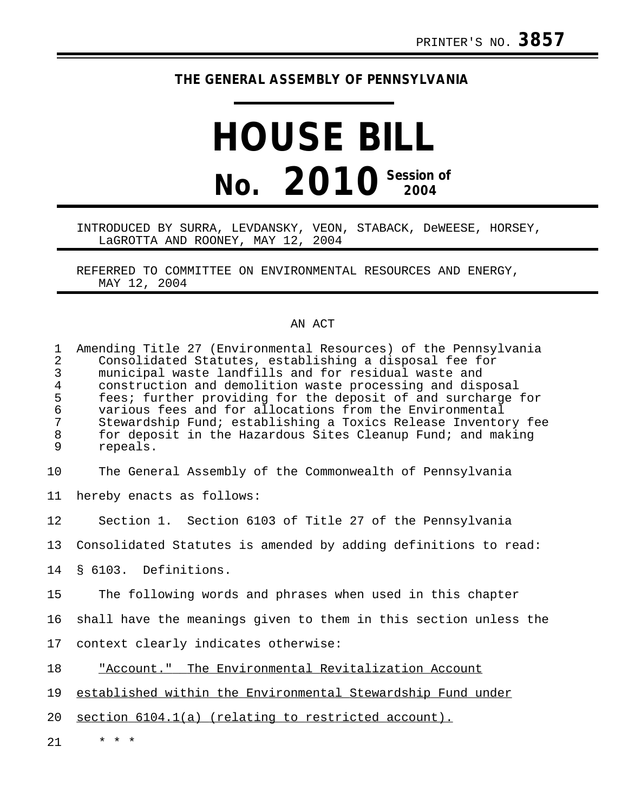## **THE GENERAL ASSEMBLY OF PENNSYLVANIA**

## **HOUSE BILL No. 2010 Session of 2004**

## INTRODUCED BY SURRA, LEVDANSKY, VEON, STABACK, DeWEESE, HORSEY, LaGROTTA AND ROONEY, MAY 12, 2004

REFERRED TO COMMITTEE ON ENVIRONMENTAL RESOURCES AND ENERGY, MAY 12, 2004

## AN ACT

| $\mathbf 1$<br>$\overline{a}$<br>$\mathsf{3}$<br>$\overline{4}$<br>5<br>$\epsilon$<br>$\overline{7}$<br>$\,8\,$<br>9 | Amending Title 27 (Environmental Resources) of the Pennsylvania<br>Consolidated Statutes, establishing a disposal fee for<br>municipal waste landfills and for residual waste and<br>construction and demolition waste processing and disposal<br>fees; further providing for the deposit of and surcharge for<br>various fees and for allocations from the Environmental<br>Stewardship Fund; establishing a Toxics Release Inventory fee<br>for deposit in the Hazardous Sites Cleanup Fund; and making<br>repeals. |
|----------------------------------------------------------------------------------------------------------------------|-----------------------------------------------------------------------------------------------------------------------------------------------------------------------------------------------------------------------------------------------------------------------------------------------------------------------------------------------------------------------------------------------------------------------------------------------------------------------------------------------------------------------|
| 10                                                                                                                   | The General Assembly of the Commonwealth of Pennsylvania                                                                                                                                                                                                                                                                                                                                                                                                                                                              |
| 11                                                                                                                   | hereby enacts as follows:                                                                                                                                                                                                                                                                                                                                                                                                                                                                                             |
| 12                                                                                                                   | Section 1. Section 6103 of Title 27 of the Pennsylvania                                                                                                                                                                                                                                                                                                                                                                                                                                                               |
| 13                                                                                                                   | Consolidated Statutes is amended by adding definitions to read:                                                                                                                                                                                                                                                                                                                                                                                                                                                       |
| 14                                                                                                                   | § 6103. Definitions.                                                                                                                                                                                                                                                                                                                                                                                                                                                                                                  |
| 15                                                                                                                   | The following words and phrases when used in this chapter                                                                                                                                                                                                                                                                                                                                                                                                                                                             |
| 16                                                                                                                   | shall have the meanings given to them in this section unless the                                                                                                                                                                                                                                                                                                                                                                                                                                                      |
| 17                                                                                                                   | context clearly indicates otherwise:                                                                                                                                                                                                                                                                                                                                                                                                                                                                                  |
| 18                                                                                                                   | "Account." The Environmental Revitalization Account                                                                                                                                                                                                                                                                                                                                                                                                                                                                   |
| 19                                                                                                                   | established within the Environmental Stewardship Fund under                                                                                                                                                                                                                                                                                                                                                                                                                                                           |
| 20                                                                                                                   | section 6104.1(a) (relating to restricted account).                                                                                                                                                                                                                                                                                                                                                                                                                                                                   |
| 21                                                                                                                   | * * *                                                                                                                                                                                                                                                                                                                                                                                                                                                                                                                 |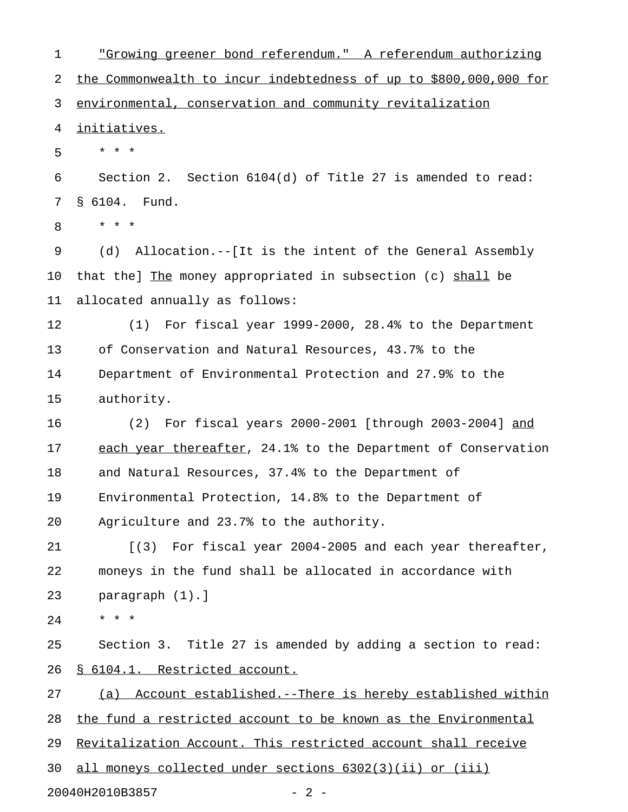1 The setterm of the setterman of the setterman authorizing  $1$  and  $2$  and  $2$  and  $2$  are  $2$  and  $2$  are  $2$  are  $2$  and  $2$  are  $2$  and  $2$  are  $2$  and  $2$  are  $2$  and  $2$  are  $2$  and  $2$  are  $2$  and  $2$  are  $2$  and  $2$ 2 the Commonwealth to incur indebtedness of up to \$800,000,000 for 3 environmental, conservation and community revitalization 4 initiatives. 5 \* \* \* 6 Section 2. Section 6104(d) of Title 27 is amended to read: 7 § 6104. Fund. 8 \* \* \* 9 (d) Allocation.--[It is the intent of the General Assembly 10 that the] The money appropriated in subsection (c) shall be 11 allocated annually as follows: 12 (1) For fiscal year 1999-2000, 28.4% to the Department 13 of Conservation and Natural Resources, 43.7% to the 14 Department of Environmental Protection and 27.9% to the 15 authority. 16 (2) For fiscal years 2000-2001 [through 2003-2004] and \_\_\_ 17 each year thereafter, 24.1% to the Department of Conservation 18 and Natural Resources, 37.4% to the Department of 19 Environmental Protection, 14.8% to the Department of 20 Agriculture and 23.7% to the authority. 21 [(3) For fiscal year 2004-2005 and each year thereafter, 22 moneys in the fund shall be allocated in accordance with 23 paragraph (1).] 24 \* \* \* 25 Section 3. Title 27 is amended by adding a section to read: 26 § 6104.1. Restricted account. 27 (a) Account established.--There is hereby established within 28 the fund a restricted account to be known as the Environmental 29 Revitalization Account. This restricted account shall receive 30 all moneys collected under sections 6302(3)(ii) or (iii) 20040H2010B3857 - 2 -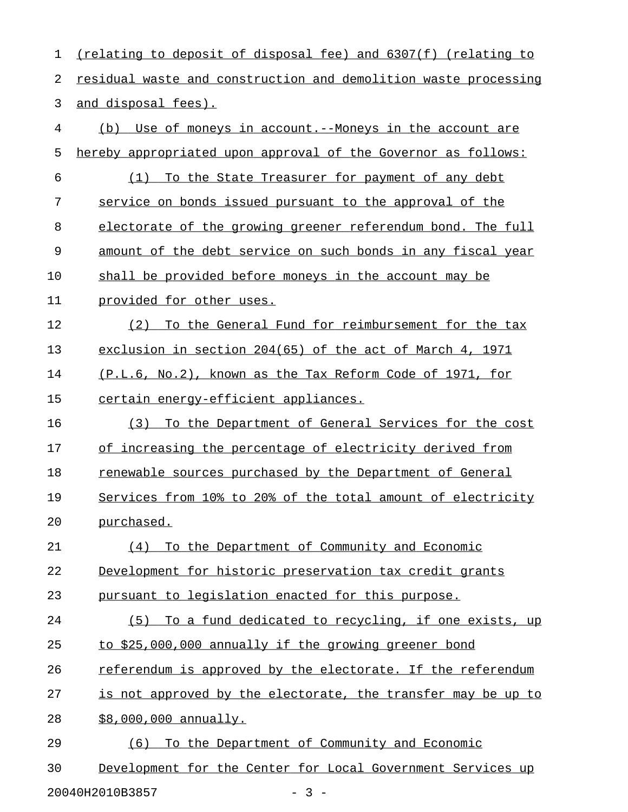1 (relating to deposit of disposal fee) and 6307(f) (relating to 2 residual waste and construction and demolition waste processing 3 and disposal fees). 4 (b) Use of moneys in account.--Moneys in the account are 5 hereby appropriated upon approval of the Governor as follows: 6 (1) To the State Treasurer for payment of any debt 7 service on bonds issued pursuant to the approval of the 8 electorate of the growing greener referendum bond. The full 9 amount of the debt service on such bonds in any fiscal year 10 shall be provided before moneys in the account may be 11 provided for other uses. 12 (2) To the General Fund for reimbursement for the tax 13 exclusion in section 204(65) of the act of March 4, 1971 14 (P.L.6, No.2), known as the Tax Reform Code of 1971, for 15 certain energy-efficient appliances. 16 (3) To the Department of General Services for the cost 17 of increasing the percentage of electricity derived from 18 renewable sources purchased by the Department of General 19 Services from 10% to 20% of the total amount of electricity 20 purchased. 21 (4) To the Department of Community and Economic 22 Development for historic preservation tax credit grants 23 pursuant to legislation enacted for this purpose. 24 (5) To a fund dedicated to recycling, if one exists, up 25 to \$25,000,000 annually if the growing greener bond 26 referendum is approved by the electorate. If the referendum 27 is not approved by the electorate, the transfer may be up to 28 \$8,000,000 annually. 29 (6) To the Department of Community and Economic 30 Development for the Center for Local Government Services up

20040H2010B3857 - 3 -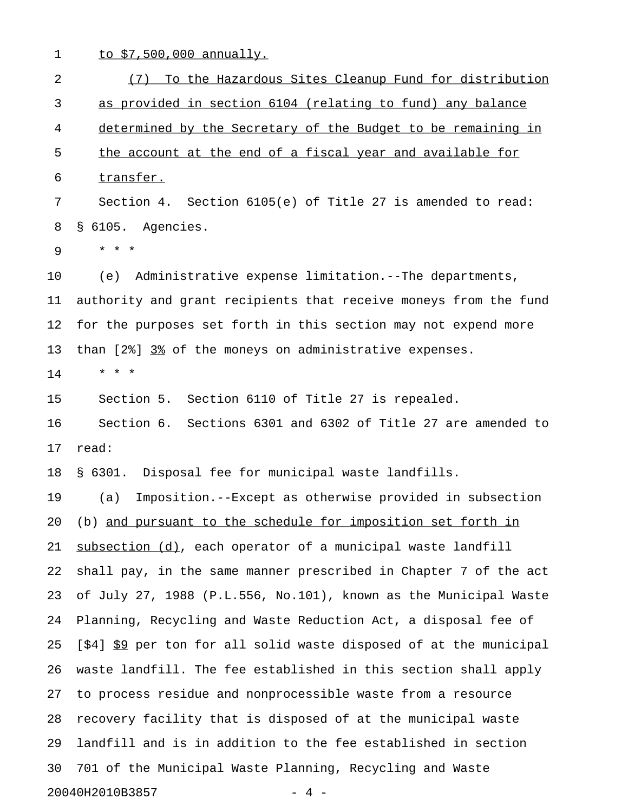1 to \$7,500,000 annually.

2 (7) To the Hazardous Sites Cleanup Fund for distribution 3 as provided in section 6104 (relating to fund) any balance 4 determined by the Secretary of the Budget to be remaining in 5 the account at the end of a fiscal year and available for 6 transfer. 7 Section 4. Section 6105(e) of Title 27 is amended to read: 8 § 6105. Agencies. 9 \* \* \* 10 (e) Administrative expense limitation.--The departments, 11 authority and grant recipients that receive moneys from the fund 12 for the purposes set forth in this section may not expend more 13 than [2%] 3% of the moneys on administrative expenses. 14 \* \* \* 15 Section 5. Section 6110 of Title 27 is repealed. 16 Section 6. Sections 6301 and 6302 of Title 27 are amended to 17 read: 18 § 6301. Disposal fee for municipal waste landfills. 19 (a) Imposition.--Except as otherwise provided in subsection 20 (b) and pursuant to the schedule for imposition set forth in 21 subsection (d), each operator of a municipal waste landfill 22 shall pay, in the same manner prescribed in Chapter 7 of the act 23 of July 27, 1988 (P.L.556, No.101), known as the Municipal Waste 24 Planning, Recycling and Waste Reduction Act, a disposal fee of 25 [\$4]  $$9$  per ton for all solid waste disposed of at the municipal 26 waste landfill. The fee established in this section shall apply 27 to process residue and nonprocessible waste from a resource 28 recovery facility that is disposed of at the municipal waste 29 landfill and is in addition to the fee established in section 30 701 of the Municipal Waste Planning, Recycling and Waste 20040H2010B3857 - 4 -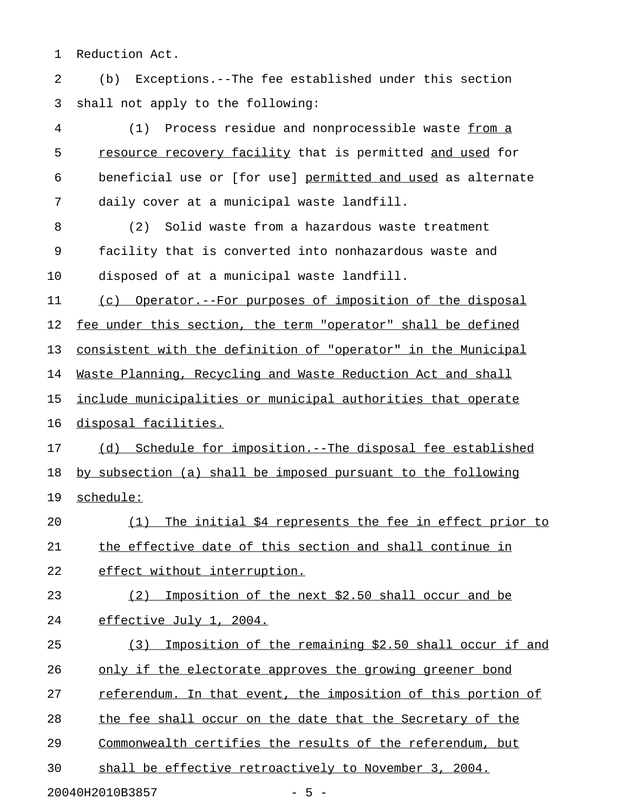1 Reduction Act.

2 (b) Exceptions.--The fee established under this section 3 shall not apply to the following:

4 (1) Process residue and nonprocessible waste from a 5 resource recovery facility that is permitted and used for 6 beneficial use or [for use] permitted and used as alternate 7 daily cover at a municipal waste landfill. 8 (2) Solid waste from a hazardous waste treatment 9 facility that is converted into nonhazardous waste and 10 disposed of at a municipal waste landfill. 11 (c) Operator.--For purposes of imposition of the disposal 12 fee under this section, the term "operator" shall be defined 13 consistent with the definition of "operator" in the Municipal 14 Waste Planning, Recycling and Waste Reduction Act and shall 15 include municipalities or municipal authorities that operate 16 disposal facilities. 17 (d) Schedule for imposition.--The disposal fee established 18 by subsection (a) shall be imposed pursuant to the following 19 schedule: \_\_\_\_\_\_\_\_\_ 20 (1) The initial \$4 represents the fee in effect prior to 21 the effective date of this section and shall continue in 22 effect without interruption. 23 (2) Imposition of the next \$2.50 shall occur and be 24 effective July 1, 2004. 25 (3) Imposition of the remaining \$2.50 shall occur if and 26 only if the electorate approves the growing greener bond 27 referendum. In that event, the imposition of this portion of 28 the fee shall occur on the date that the Secretary of the 29 Commonwealth certifies the results of the referendum, but 30 shall be effective retroactively to November 3, 2004.

20040H2010B3857 - 5 -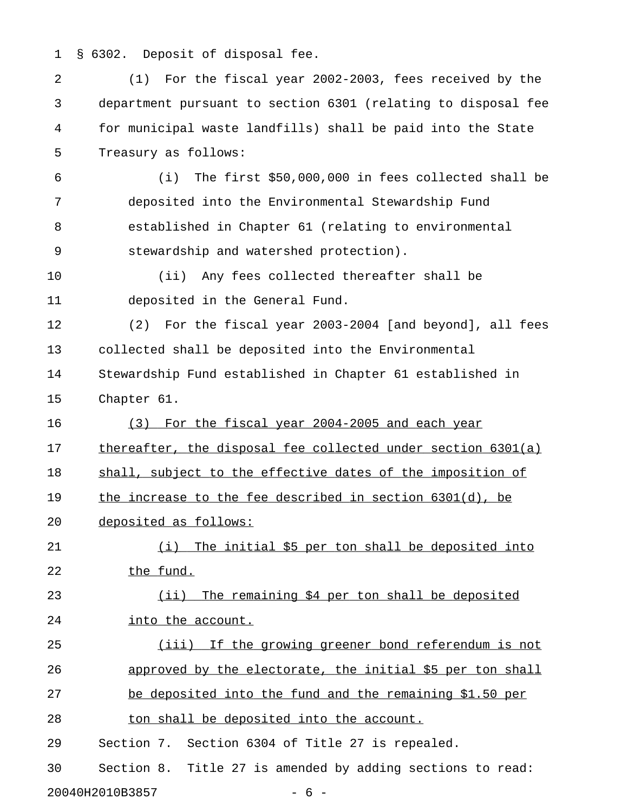1 § 6302. Deposit of disposal fee.

| 2  | For the fiscal year 2002-2003, fees received by the<br>(1)      |
|----|-----------------------------------------------------------------|
| 3  | department pursuant to section 6301 (relating to disposal fee   |
| 4  | for municipal waste landfills) shall be paid into the State     |
| 5  | Treasury as follows:                                            |
| 6  | The first \$50,000,000 in fees collected shall be<br>(i)        |
| 7  | deposited into the Environmental Stewardship Fund               |
| 8  | established in Chapter 61 (relating to environmental            |
| 9  | stewardship and watershed protection).                          |
| 10 | Any fees collected thereafter shall be<br>(iii)                 |
| 11 | deposited in the General Fund.                                  |
| 12 | For the fiscal year 2003-2004 [and beyond], all fees<br>(2)     |
| 13 | collected shall be deposited into the Environmental             |
| 14 | Stewardship Fund established in Chapter 61 established in       |
| 15 | Chapter 61.                                                     |
| 16 | For the fiscal year 2004-2005 and each year<br>(3)              |
| 17 | thereafter, the disposal fee collected under section 6301(a)    |
| 18 | shall, subject to the effective dates of the imposition of      |
| 19 | <u>the increase to the fee described in section 6301(d), be</u> |
| 20 | deposited as follows:                                           |
| 21 | (i) The initial \$5 per ton shall be deposited into             |
| 22 | the fund.                                                       |
| 23 | (ii) The remaining \$4 per ton shall be deposited               |
| 24 | into the account.                                               |
| 25 | (iii) If the growing greener bond referendum is not             |
| 26 | approved by the electorate, the initial \$5 per ton shall       |
| 27 | be deposited into the fund and the remaining \$1.50 per         |
| 28 | ton shall be deposited into the account.                        |
| 29 | Section 7. Section 6304 of Title 27 is repealed.                |
| 30 | Section 8. Title 27 is amended by adding sections to read:      |
|    | $-6-$<br>20040H2010B3857                                        |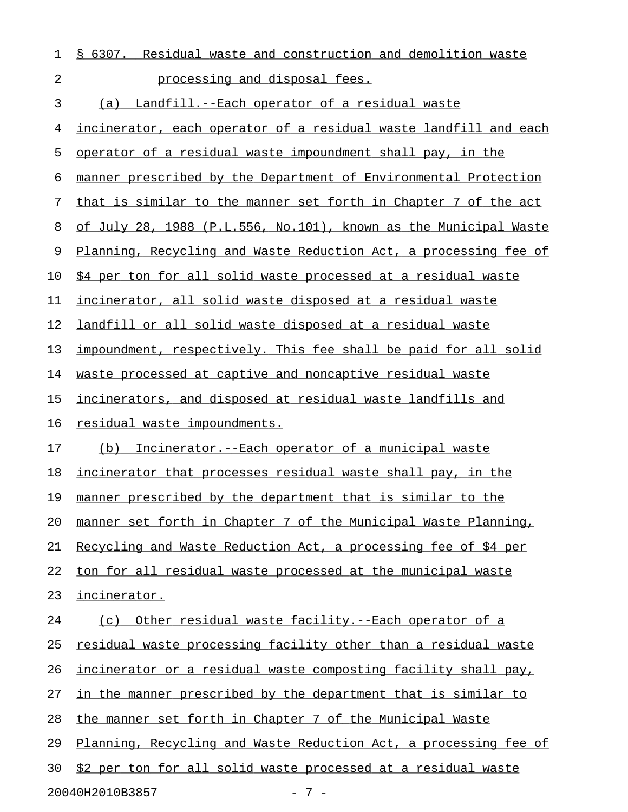| 1  | § 6307. Residual waste and construction and demolition waste            |
|----|-------------------------------------------------------------------------|
| 2  | processing and disposal fees.                                           |
| 3  | (a) Landfill.--Each operator of a residual waste                        |
| 4  | <u>incinerator, each operator of a residual waste landfill and each</u> |
| 5  | operator of a residual waste impoundment shall pay, in the              |
| 6  | manner prescribed by the Department of Environmental Protection         |
| 7  | that is similar to the manner set forth in Chapter 7 of the act         |
| 8  | of July 28, 1988 (P.L.556, No.101), known as the Municipal Waste        |
| 9  | Planning, Recycling and Waste Reduction Act, a processing fee of        |
| 10 | \$4 per ton for all solid waste processed at a residual waste           |
| 11 | incinerator, all solid waste disposed at a residual waste               |
| 12 | landfill or all solid waste disposed at a residual waste                |
| 13 | impoundment, respectively. This fee shall be paid for all solid         |
| 14 | waste processed at captive and noncaptive residual waste                |
| 15 | incinerators, and disposed at residual waste landfills and              |
| 16 | residual waste impoundments.                                            |
| 17 | Incinerator.--Each operator of a municipal waste<br>(b)                 |
| 18 | incinerator that processes residual waste shall pay, in the             |
| 19 | manner prescribed by the department that is similar to the              |
| 20 | manner set forth in Chapter 7 of the Municipal Waste Planning,          |
| 21 | Recycling and Waste Reduction Act, a processing fee of \$4 per          |
| 22 | ton for all residual waste processed at the municipal waste             |
| 23 | incinerator.                                                            |
| 24 | Other residual waste facility.--Each operator of a<br>(c)               |
| 25 | residual waste processing facility other than a residual waste          |
| 26 | incinerator or a residual waste composting facility shall pay,          |
| 27 | in the manner prescribed by the department that is similar to           |
| 28 | the manner set forth in Chapter 7 of the Municipal Waste                |
| 29 | Planning, Recycling and Waste Reduction Act, a processing fee of        |
| 30 | \$2 per ton for all solid waste processed at a residual waste           |
|    | 20040H2010B3857<br>$-7-$                                                |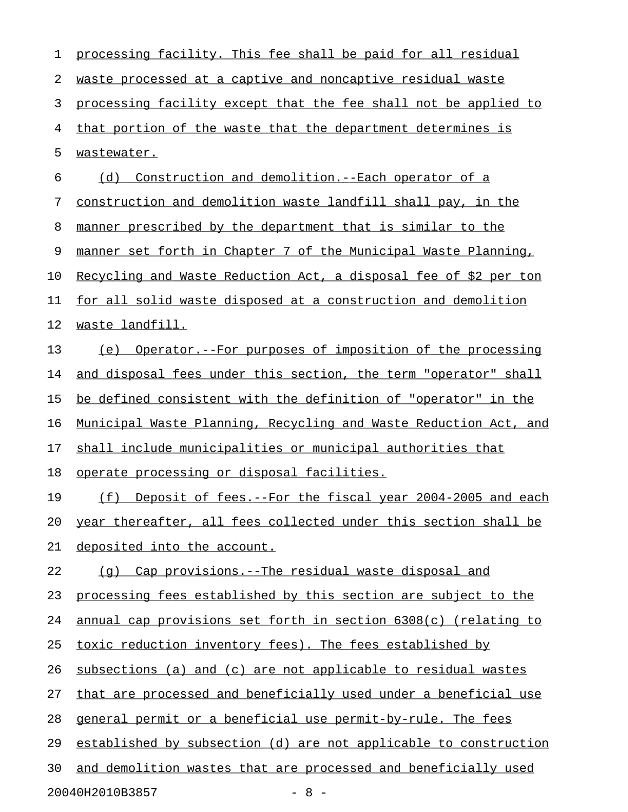| 1  | processing facility. This fee shall be paid for all residual     |
|----|------------------------------------------------------------------|
| 2  | waste processed at a captive and noncaptive residual waste       |
| 3  | processing facility except that the fee shall not be applied to  |
| 4  | that portion of the waste that the department determines is      |
| 5  | wastewater.                                                      |
| 6  | Construction and demolition. -- Each operator of a<br>(d)        |
| 7  | construction and demolition waste landfill shall pay, in the     |
| 8  | manner prescribed by the department that is similar to the       |
| 9  | manner set forth in Chapter 7 of the Municipal Waste Planning,   |
| 10 | Recycling and Waste Reduction Act, a disposal fee of \$2 per ton |
| 11 | for all solid waste disposed at a construction and demolition    |
| 12 | waste landfill.                                                  |
| 13 | Operator.--For purposes of imposition of the processing<br>(e)   |
| 14 | and disposal fees under this section, the term "operator" shall  |
| 15 | be defined consistent with the definition of "operator" in the   |
| 16 | Municipal Waste Planning, Recycling and Waste Reduction Act, and |
| 17 | shall include municipalities or municipal authorities that       |
| 18 | <u>operate processing or disposal facilities.</u>                |
| 19 | (f)<br>Deposit of fees.--For the fiscal year 2004-2005 and each  |
| 20 | year thereafter, all fees collected under this section shall be  |
| 21 | deposited into the account.                                      |
| 22 | (q) Cap provisions.--The residual waste disposal and             |
| 23 | processing fees established by this section are subject to the   |
| 24 | annual cap provisions set forth in section 6308(c) (relating to  |
| 25 | toxic reduction inventory fees). The fees established by         |
| 26 | subsections (a) and (c) are not applicable to residual wastes    |
| 27 | that are processed and beneficially used under a beneficial use  |
| 28 | general permit or a beneficial use permit-by-rule. The fees      |
| 29 | established by subsection (d) are not applicable to construction |
| 30 | and demolition wastes that are processed and beneficially used   |
|    | 20040H2010B3857<br>$-8 -$                                        |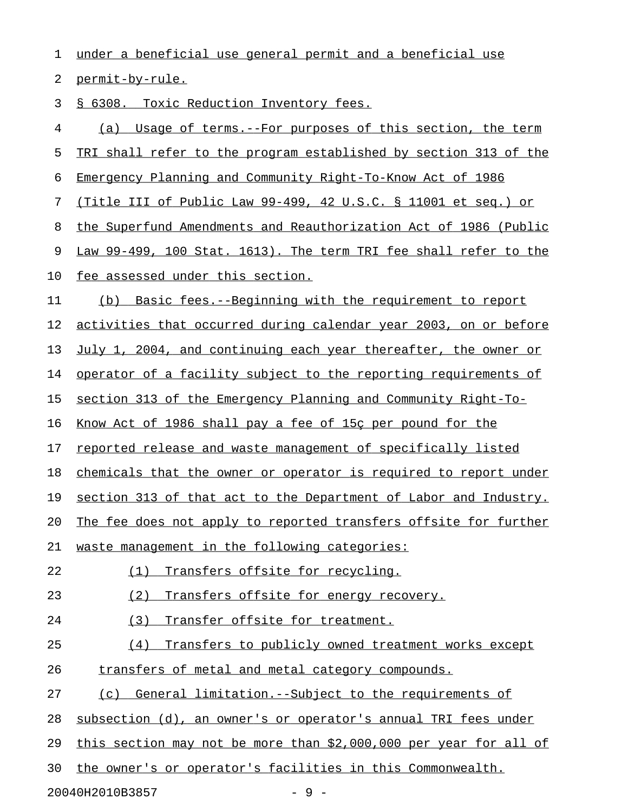1 under a beneficial use general permit and a beneficial use

2 permit-by-rule.

3 § 6308. Toxic Reduction Inventory fees.

4 (a) Usage of terms.--For purposes of this section, the term 5 TRI shall refer to the program established by section 313 of the 6 Emergency Planning and Community Right-To-Know Act of 1986 7 (Title III of Public Law 99-499, 42 U.S.C. § 11001 et seq.) or 8 the Superfund Amendments and Reauthorization Act of 1986 (Public 9 Law 99-499, 100 Stat. 1613). The term TRI fee shall refer to the 10 fee assessed under this section. 11 (b) Basic fees.--Beginning with the requirement to report 12 activities that occurred during calendar year 2003, on or before 13 July 1, 2004, and continuing each year thereafter, the owner or 14 operator of a facility subject to the reporting requirements of 15 section 313 of the Emergency Planning and Community Right-To-16 Know Act of 1986 shall pay a fee of 15c per pound for the 17 reported release and waste management of specifically listed 18 chemicals that the owner or operator is required to report under 19 section 313 of that act to the Department of Labor and Industry. 20 The fee does not apply to reported transfers offsite for further 21 waste management in the following categories: 22 (1) Transfers offsite for recycling. 23 (2) Transfers offsite for energy recovery. 24 (3) Transfer offsite for treatment. 25 (4) Transfers to publicly owned treatment works except 26 transfers of metal and metal category compounds. 27 (c) General limitation.--Subject to the requirements of 28 subsection (d), an owner's or operator's annual TRI fees under 29 this section may not be more than  $$2,000,000$  per year for all of 30 the owner's or operator's facilities in this Commonwealth. 20040H2010B3857 - 9 -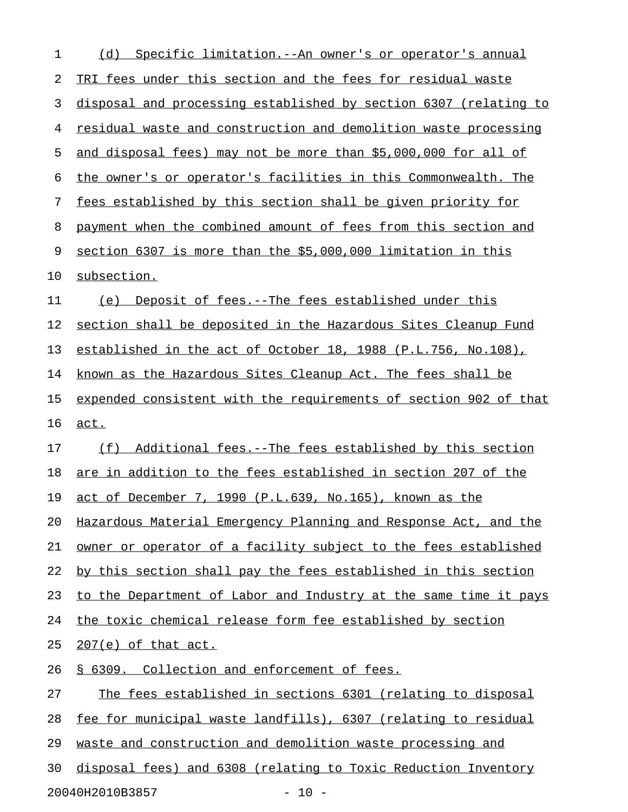| 1  | Specific limitation. -- An owner's or operator's annual<br>(d)   |
|----|------------------------------------------------------------------|
| 2  | TRI fees under this section and the fees for residual waste      |
| 3  | disposal and processing established by section 6307 (relating to |
| 4  | residual waste and construction and demolition waste processing  |
| 5  | and disposal fees) may not be more than \$5,000,000 for all of   |
| 6  | the owner's or operator's facilities in this Commonwealth. The   |
| 7  | fees established by this section shall be given priority for     |
| 8  | payment when the combined amount of fees from this section and   |
| 9  | section 6307 is more than the \$5,000,000 limitation in this     |
| 10 | subsection.                                                      |
| 11 | Deposit of fees.--The fees established under this<br>(e)         |
| 12 | section shall be deposited in the Hazardous Sites Cleanup Fund   |
| 13 | established in the act of October 18, 1988 (P.L.756, No.108),    |
| 14 | known as the Hazardous Sites Cleanup Act. The fees shall be      |
| 15 | expended consistent with the requirements of section 902 of that |
| 16 | act.                                                             |
| 17 | (f)<br>Additional fees.--The fees established by this section    |
| 18 | are in addition to the fees established in section 207 of the    |
| 19 | act of December 7, 1990 (P.L.639, No.165), known as the          |
| 20 | Hazardous Material Emergency Planning and Response Act, and the  |
| 21 | owner or operator of a facility subject to the fees established  |
| 22 | by this section shall pay the fees established in this section   |
| 23 | to the Department of Labor and Industry at the same time it pays |
| 24 | the toxic chemical release form fee established by section       |
| 25 | $207(e)$ of that act.                                            |
| 26 | § 6309. Collection and enforcement of fees.                      |
| 27 | The fees established in sections 6301 (relating to disposal      |
| 28 | fee for municipal waste landfills), 6307 (relating to residual   |
| 29 | waste and construction and demolition waste processing and       |
| 30 | disposal fees) and 6308 (relating to Toxic Reduction Inventory   |
|    |                                                                  |

20040H2010B3857 - 10 -